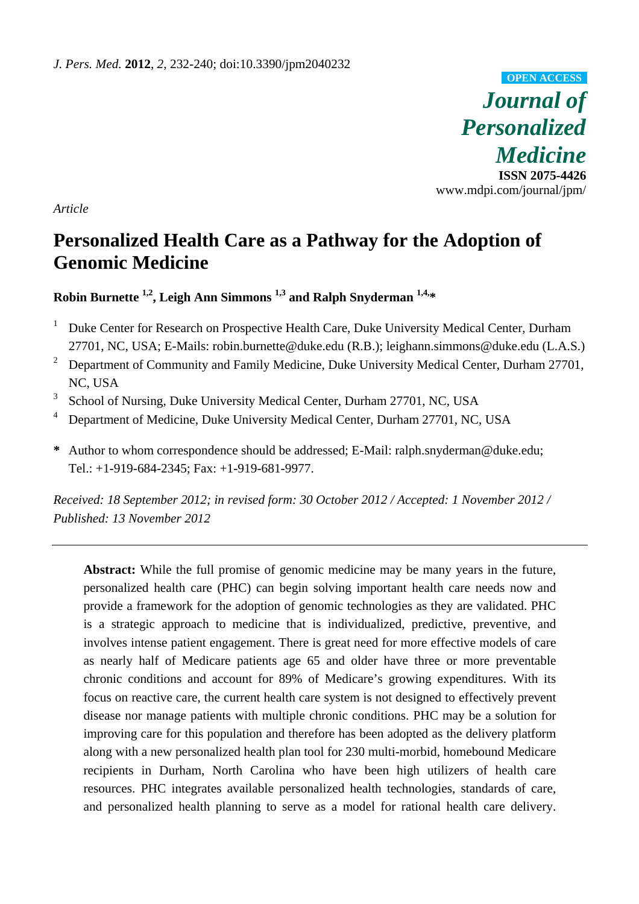*Journal of Personalized Medicine*  **ISSN 2075-4426**  www.mdpi.com/journal/jpm/ **OPEN ACCESS**

*Article* 

# **Personalized Health Care as a Pathway for the Adoption of Genomic Medicine**

# **Robin Burnette 1,2, Leigh Ann Simmons 1,3 and Ralph Snyderman 1,4,\***

- <sup>1</sup> Duke Center for Research on Prospective Health Care, Duke University Medical Center, Durham 27701, NC, USA; E-Mails: robin.burnette@duke.edu (R.B.); leighann.simmons@duke.edu (L.A.S.)
- <sup>2</sup> Department of Community and Family Medicine, Duke University Medical Center, Durham 27701, NC, USA
- 3 School of Nursing, Duke University Medical Center, Durham 27701, NC, USA
- 4 Department of Medicine, Duke University Medical Center, Durham 27701, NC, USA
- **\*** Author to whom correspondence should be addressed; E-Mail: ralph.snyderman@duke.edu; Tel.: +1-919-684-2345; Fax: +1-919-681-9977.

*Received: 18 September 2012; in revised form: 30 October 2012 / Accepted: 1 November 2012 / Published: 13 November 2012* 

**Abstract:** While the full promise of genomic medicine may be many years in the future, personalized health care (PHC) can begin solving important health care needs now and provide a framework for the adoption of genomic technologies as they are validated. PHC is a strategic approach to medicine that is individualized, predictive, preventive, and involves intense patient engagement. There is great need for more effective models of care as nearly half of Medicare patients age 65 and older have three or more preventable chronic conditions and account for 89% of Medicare's growing expenditures. With its focus on reactive care, the current health care system is not designed to effectively prevent disease nor manage patients with multiple chronic conditions. PHC may be a solution for improving care for this population and therefore has been adopted as the delivery platform along with a new personalized health plan tool for 230 multi-morbid, homebound Medicare recipients in Durham, North Carolina who have been high utilizers of health care resources. PHC integrates available personalized health technologies, standards of care, and personalized health planning to serve as a model for rational health care delivery.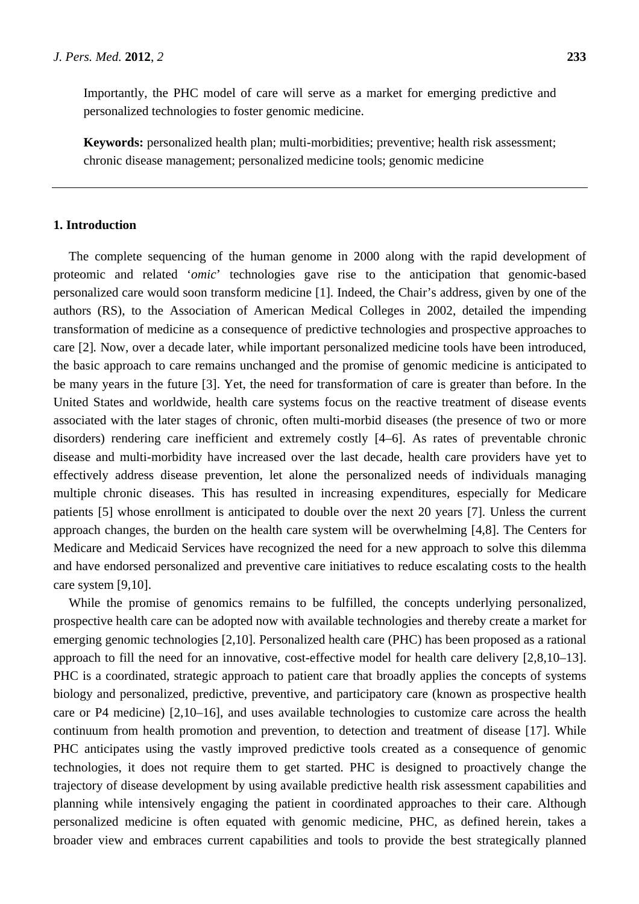Importantly, the PHC model of care will serve as a market for emerging predictive and personalized technologies to foster genomic medicine.

**Keywords:** personalized health plan; multi-morbidities; preventive; health risk assessment; chronic disease management; personalized medicine tools; genomic medicine

# **1. Introduction**

The complete sequencing of the human genome in 2000 along with the rapid development of proteomic and related '*omic*' technologies gave rise to the anticipation that genomic-based personalized care would soon transform medicine [1]. Indeed, the Chair's address, given by one of the authors (RS), to the Association of American Medical Colleges in 2002, detailed the impending transformation of medicine as a consequence of predictive technologies and prospective approaches to care [2]*.* Now, over a decade later, while important personalized medicine tools have been introduced, the basic approach to care remains unchanged and the promise of genomic medicine is anticipated to be many years in the future [3]. Yet, the need for transformation of care is greater than before. In the United States and worldwide, health care systems focus on the reactive treatment of disease events associated with the later stages of chronic, often multi-morbid diseases (the presence of two or more disorders) rendering care inefficient and extremely costly [4–6]. As rates of preventable chronic disease and multi-morbidity have increased over the last decade, health care providers have yet to effectively address disease prevention, let alone the personalized needs of individuals managing multiple chronic diseases. This has resulted in increasing expenditures, especially for Medicare patients [5] whose enrollment is anticipated to double over the next 20 years [7]. Unless the current approach changes, the burden on the health care system will be overwhelming [4,8]. The Centers for Medicare and Medicaid Services have recognized the need for a new approach to solve this dilemma and have endorsed personalized and preventive care initiatives to reduce escalating costs to the health care system [9,10].

While the promise of genomics remains to be fulfilled, the concepts underlying personalized, prospective health care can be adopted now with available technologies and thereby create a market for emerging genomic technologies [2,10]. Personalized health care (PHC) has been proposed as a rational approach to fill the need for an innovative, cost-effective model for health care delivery [2,8,10–13]. PHC is a coordinated, strategic approach to patient care that broadly applies the concepts of systems biology and personalized, predictive, preventive, and participatory care (known as prospective health care or P4 medicine) [2,10–16], and uses available technologies to customize care across the health continuum from health promotion and prevention, to detection and treatment of disease [17]. While PHC anticipates using the vastly improved predictive tools created as a consequence of genomic technologies, it does not require them to get started. PHC is designed to proactively change the trajectory of disease development by using available predictive health risk assessment capabilities and planning while intensively engaging the patient in coordinated approaches to their care. Although personalized medicine is often equated with genomic medicine, PHC, as defined herein, takes a broader view and embraces current capabilities and tools to provide the best strategically planned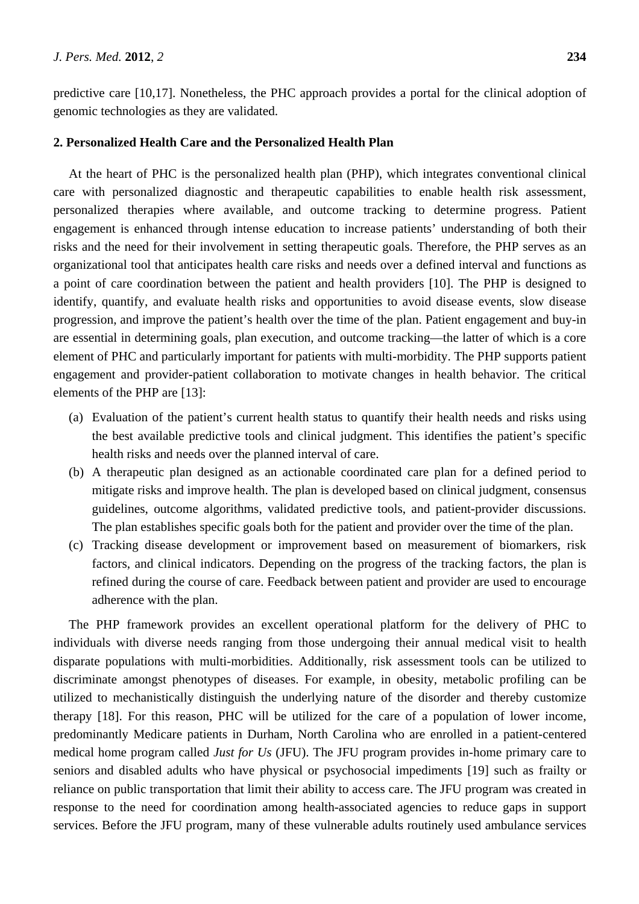predictive care [10,17]. Nonetheless, the PHC approach provides a portal for the clinical adoption of genomic technologies as they are validated.

#### **2. Personalized Health Care and the Personalized Health Plan**

At the heart of PHC is the personalized health plan (PHP), which integrates conventional clinical care with personalized diagnostic and therapeutic capabilities to enable health risk assessment, personalized therapies where available, and outcome tracking to determine progress. Patient engagement is enhanced through intense education to increase patients' understanding of both their risks and the need for their involvement in setting therapeutic goals. Therefore, the PHP serves as an organizational tool that anticipates health care risks and needs over a defined interval and functions as a point of care coordination between the patient and health providers [10]. The PHP is designed to identify, quantify, and evaluate health risks and opportunities to avoid disease events, slow disease progression, and improve the patient's health over the time of the plan. Patient engagement and buy-in are essential in determining goals, plan execution, and outcome tracking—the latter of which is a core element of PHC and particularly important for patients with multi-morbidity. The PHP supports patient engagement and provider-patient collaboration to motivate changes in health behavior. The critical elements of the PHP are [13]:

- (a) Evaluation of the patient's current health status to quantify their health needs and risks using the best available predictive tools and clinical judgment. This identifies the patient's specific health risks and needs over the planned interval of care.
- (b) A therapeutic plan designed as an actionable coordinated care plan for a defined period to mitigate risks and improve health. The plan is developed based on clinical judgment, consensus guidelines, outcome algorithms, validated predictive tools, and patient-provider discussions. The plan establishes specific goals both for the patient and provider over the time of the plan.
- (c) Tracking disease development or improvement based on measurement of biomarkers, risk factors, and clinical indicators. Depending on the progress of the tracking factors, the plan is refined during the course of care. Feedback between patient and provider are used to encourage adherence with the plan.

The PHP framework provides an excellent operational platform for the delivery of PHC to individuals with diverse needs ranging from those undergoing their annual medical visit to health disparate populations with multi-morbidities. Additionally, risk assessment tools can be utilized to discriminate amongst phenotypes of diseases. For example, in obesity, metabolic profiling can be utilized to mechanistically distinguish the underlying nature of the disorder and thereby customize therapy [18]. For this reason, PHC will be utilized for the care of a population of lower income, predominantly Medicare patients in Durham, North Carolina who are enrolled in a patient-centered medical home program called *Just for Us* (JFU). The JFU program provides in-home primary care to seniors and disabled adults who have physical or psychosocial impediments [19] such as frailty or reliance on public transportation that limit their ability to access care. The JFU program was created in response to the need for coordination among health-associated agencies to reduce gaps in support services. Before the JFU program, many of these vulnerable adults routinely used ambulance services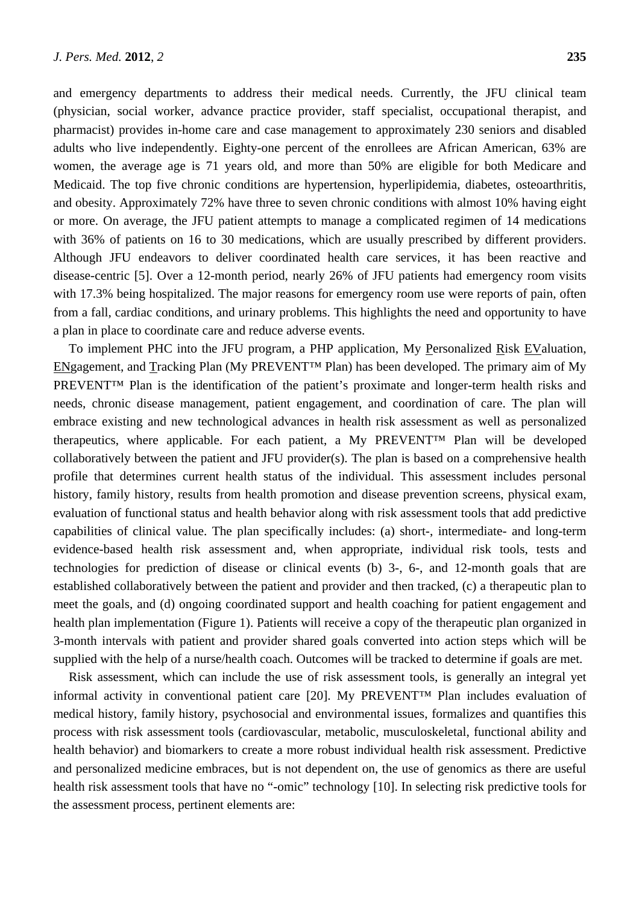and emergency departments to address their medical needs. Currently, the JFU clinical team (physician, social worker, advance practice provider, staff specialist, occupational therapist, and pharmacist) provides in-home care and case management to approximately 230 seniors and disabled adults who live independently. Eighty-one percent of the enrollees are African American, 63% are women, the average age is 71 years old, and more than 50% are eligible for both Medicare and Medicaid. The top five chronic conditions are hypertension, hyperlipidemia, diabetes, osteoarthritis, and obesity. Approximately 72% have three to seven chronic conditions with almost 10% having eight or more. On average, the JFU patient attempts to manage a complicated regimen of 14 medications with 36% of patients on 16 to 30 medications, which are usually prescribed by different providers. Although JFU endeavors to deliver coordinated health care services, it has been reactive and disease-centric [5]. Over a 12-month period, nearly 26% of JFU patients had emergency room visits with 17.3% being hospitalized. The major reasons for emergency room use were reports of pain, often from a fall, cardiac conditions, and urinary problems. This highlights the need and opportunity to have a plan in place to coordinate care and reduce adverse events.

To implement PHC into the JFU program, a PHP application, My Personalized Risk EValuation, ENgagement, and Tracking Plan (My PREVENT™ Plan) has been developed. The primary aim of My PREVENT™ Plan is the identification of the patient's proximate and longer-term health risks and needs, chronic disease management, patient engagement, and coordination of care. The plan will embrace existing and new technological advances in health risk assessment as well as personalized therapeutics, where applicable. For each patient, a My PREVENT™ Plan will be developed collaboratively between the patient and JFU provider(s). The plan is based on a comprehensive health profile that determines current health status of the individual. This assessment includes personal history, family history, results from health promotion and disease prevention screens, physical exam, evaluation of functional status and health behavior along with risk assessment tools that add predictive capabilities of clinical value. The plan specifically includes: (a) short-, intermediate- and long-term evidence-based health risk assessment and, when appropriate, individual risk tools, tests and technologies for prediction of disease or clinical events (b) 3-, 6-, and 12-month goals that are established collaboratively between the patient and provider and then tracked, (c) a therapeutic plan to meet the goals, and (d) ongoing coordinated support and health coaching for patient engagement and health plan implementation (Figure 1). Patients will receive a copy of the therapeutic plan organized in 3-month intervals with patient and provider shared goals converted into action steps which will be supplied with the help of a nurse/health coach. Outcomes will be tracked to determine if goals are met.

Risk assessment, which can include the use of risk assessment tools, is generally an integral yet informal activity in conventional patient care [20]. My PREVENT™ Plan includes evaluation of medical history, family history, psychosocial and environmental issues, formalizes and quantifies this process with risk assessment tools (cardiovascular, metabolic, musculoskeletal, functional ability and health behavior) and biomarkers to create a more robust individual health risk assessment. Predictive and personalized medicine embraces, but is not dependent on, the use of genomics as there are useful health risk assessment tools that have no "-omic" technology [10]. In selecting risk predictive tools for the assessment process, pertinent elements are: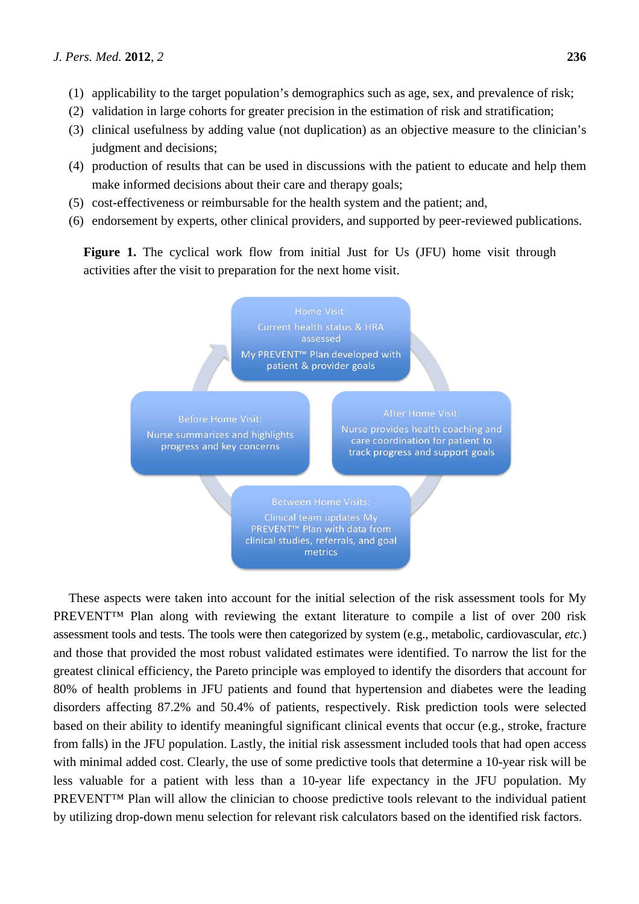- (1) applicability to the target population's demographics such as age, sex, and prevalence of risk;
- (2) validation in large cohorts for greater precision in the estimation of risk and stratification;
- (3) clinical usefulness by adding value (not duplication) as an objective measure to the clinician's judgment and decisions;
- (4) production of results that can be used in discussions with the patient to educate and help them make informed decisions about their care and therapy goals:
- (5) cost-effectiveness or reimbursable for the health system and the patient; and,
- (6) endorsement by experts, other clinical providers, and supported by peer-reviewed publications.

Figure 1. The cyclical work flow from initial Just for Us (JFU) home visit through activities after the visit to preparation for the next home visit.



These aspects were taken into account for the initial selection of the risk assessment tools for My PREVENT™ Plan along with reviewing the extant literature to compile a list of over 200 risk assessment tools and tests. The tools were then categorized by system (e.g., metabolic, cardiovascular, *etc*.) and those that provided the most robust validated estimates were identified. To narrow the list for the greatest clinical efficiency, the Pareto principle was employed to identify the disorders that account for 80% of health problems in JFU patients and found that hypertension and diabetes were the leading disorders affecting 87.2% and 50.4% of patients, respectively. Risk prediction tools were selected based on their ability to identify meaningful significant clinical events that occur (e.g., stroke, fracture from falls) in the JFU population. Lastly, the initial risk assessment included tools that had open access with minimal added cost. Clearly, the use of some predictive tools that determine a 10-year risk will be less valuable for a patient with less than a 10-year life expectancy in the JFU population. My PREVENT<sup>IM</sup> Plan will allow the clinician to choose predictive tools relevant to the individual patient by utilizing drop-down menu selection for relevant risk calculators based on the identified risk factors.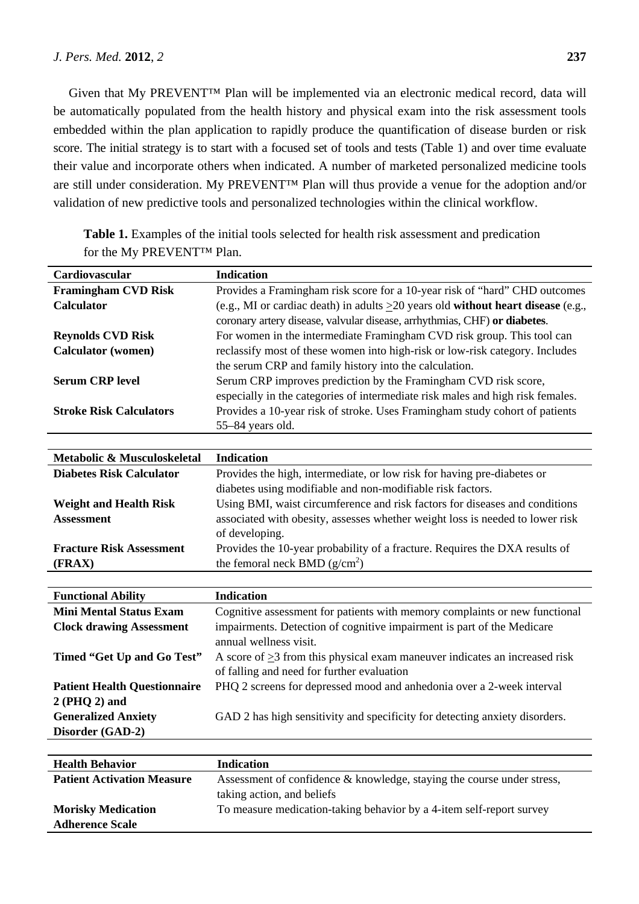Given that My PREVENT™ Plan will be implemented via an electronic medical record, data will be automatically populated from the health history and physical exam into the risk assessment tools embedded within the plan application to rapidly produce the quantification of disease burden or risk score. The initial strategy is to start with a focused set of tools and tests (Table 1) and over time evaluate their value and incorporate others when indicated. A number of marketed personalized medicine tools are still under consideration. My PREVENT™ Plan will thus provide a venue for the adoption and/or validation of new predictive tools and personalized technologies within the clinical workflow.

| Cardiovascular                      | <b>Indication</b>                                                                      |
|-------------------------------------|----------------------------------------------------------------------------------------|
| <b>Framingham CVD Risk</b>          | Provides a Framingham risk score for a 10-year risk of "hard" CHD outcomes             |
| <b>Calculator</b>                   | (e.g., MI or cardiac death) in adults $\geq 20$ years old without heart disease (e.g., |
|                                     | coronary artery disease, valvular disease, arrhythmias, CHF) or diabetes.              |
| <b>Reynolds CVD Risk</b>            | For women in the intermediate Framingham CVD risk group. This tool can                 |
| <b>Calculator</b> (women)           | reclassify most of these women into high-risk or low-risk category. Includes           |
|                                     | the serum CRP and family history into the calculation.                                 |
| <b>Serum CRP level</b>              | Serum CRP improves prediction by the Framingham CVD risk score,                        |
|                                     | especially in the categories of intermediate risk males and high risk females.         |
| <b>Stroke Risk Calculators</b>      | Provides a 10-year risk of stroke. Uses Framingham study cohort of patients            |
|                                     | 55-84 years old.                                                                       |
|                                     |                                                                                        |
| Metabolic & Musculoskeletal         | <b>Indication</b>                                                                      |
| <b>Diabetes Risk Calculator</b>     | Provides the high, intermediate, or low risk for having pre-diabetes or                |
|                                     | diabetes using modifiable and non-modifiable risk factors.                             |
| <b>Weight and Health Risk</b>       | Using BMI, waist circumference and risk factors for diseases and conditions            |
| <b>Assessment</b>                   | associated with obesity, assesses whether weight loss is needed to lower risk          |
|                                     | of developing.                                                                         |
| <b>Fracture Risk Assessment</b>     | Provides the 10-year probability of a fracture. Requires the DXA results of            |
| (FRAX)                              | the femoral neck BMD $(g/cm^2)$                                                        |
|                                     |                                                                                        |
| <b>Functional Ability</b>           | <b>Indication</b>                                                                      |
| <b>Mini Mental Status Exam</b>      | Cognitive assessment for patients with memory complaints or new functional             |
| <b>Clock drawing Assessment</b>     | impairments. Detection of cognitive impairment is part of the Medicare                 |
|                                     | annual wellness visit.                                                                 |
| Timed "Get Up and Go Test"          | A score of $\geq$ 3 from this physical exam maneuver indicates an increased risk       |
|                                     | of falling and need for further evaluation                                             |
| <b>Patient Health Questionnaire</b> | PHQ 2 screens for depressed mood and anhedonia over a 2-week interval                  |
| $2(PHQ 2)$ and                      |                                                                                        |
| <b>Generalized Anxiety</b>          | GAD 2 has high sensitivity and specificity for detecting anxiety disorders.            |
| Disorder (GAD-2)                    |                                                                                        |
|                                     |                                                                                        |
| <b>Health Behavior</b>              | <b>Indication</b>                                                                      |

**Table 1.** Examples of the initial tools selected for health risk assessment and predication for the My PREVENT™ Plan.

| <b>Health Behavior</b>            | <b>Indication</b>                                                      |
|-----------------------------------|------------------------------------------------------------------------|
| <b>Patient Activation Measure</b> | Assessment of confidence & knowledge, staying the course under stress, |
|                                   | taking action, and beliefs                                             |
| <b>Morisky Medication</b>         | To measure medication-taking behavior by a 4-item self-report survey   |
| <b>Adherence Scale</b>            |                                                                        |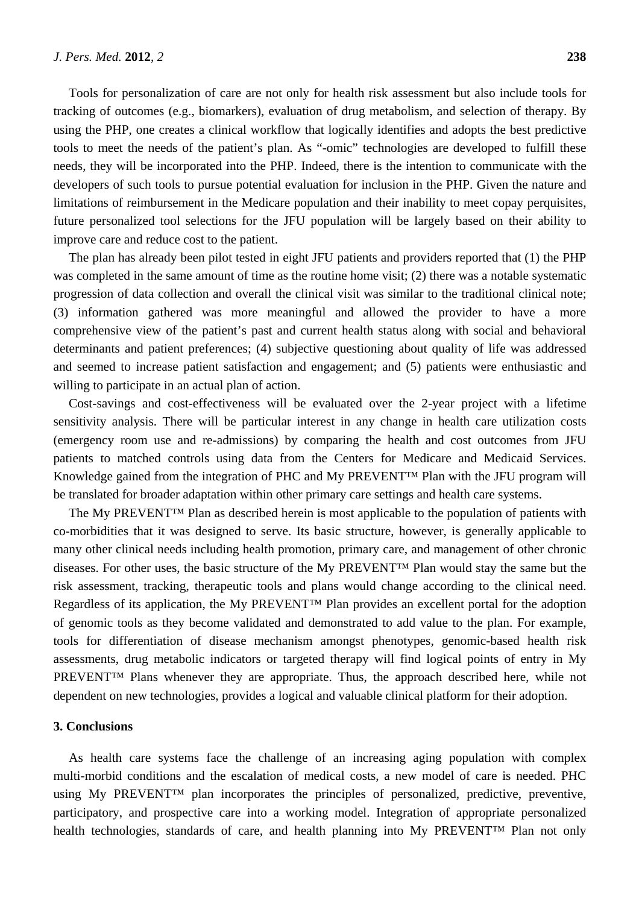Tools for personalization of care are not only for health risk assessment but also include tools for tracking of outcomes (e.g., biomarkers), evaluation of drug metabolism, and selection of therapy. By using the PHP, one creates a clinical workflow that logically identifies and adopts the best predictive tools to meet the needs of the patient's plan. As "-omic" technologies are developed to fulfill these needs, they will be incorporated into the PHP. Indeed, there is the intention to communicate with the developers of such tools to pursue potential evaluation for inclusion in the PHP. Given the nature and limitations of reimbursement in the Medicare population and their inability to meet copay perquisites, future personalized tool selections for the JFU population will be largely based on their ability to improve care and reduce cost to the patient.

The plan has already been pilot tested in eight JFU patients and providers reported that (1) the PHP was completed in the same amount of time as the routine home visit; (2) there was a notable systematic progression of data collection and overall the clinical visit was similar to the traditional clinical note; (3) information gathered was more meaningful and allowed the provider to have a more comprehensive view of the patient's past and current health status along with social and behavioral determinants and patient preferences; (4) subjective questioning about quality of life was addressed and seemed to increase patient satisfaction and engagement; and (5) patients were enthusiastic and willing to participate in an actual plan of action.

Cost-savings and cost-effectiveness will be evaluated over the 2-year project with a lifetime sensitivity analysis. There will be particular interest in any change in health care utilization costs (emergency room use and re-admissions) by comparing the health and cost outcomes from JFU patients to matched controls using data from the Centers for Medicare and Medicaid Services. Knowledge gained from the integration of PHC and My PREVENT™ Plan with the JFU program will be translated for broader adaptation within other primary care settings and health care systems.

The My PREVENT™ Plan as described herein is most applicable to the population of patients with co-morbidities that it was designed to serve. Its basic structure, however, is generally applicable to many other clinical needs including health promotion, primary care, and management of other chronic diseases. For other uses, the basic structure of the My PREVENT™ Plan would stay the same but the risk assessment, tracking, therapeutic tools and plans would change according to the clinical need. Regardless of its application, the My PREVENT™ Plan provides an excellent portal for the adoption of genomic tools as they become validated and demonstrated to add value to the plan. For example, tools for differentiation of disease mechanism amongst phenotypes, genomic-based health risk assessments, drug metabolic indicators or targeted therapy will find logical points of entry in My PREVENT™ Plans whenever they are appropriate. Thus, the approach described here, while not dependent on new technologies, provides a logical and valuable clinical platform for their adoption.

#### **3. Conclusions**

As health care systems face the challenge of an increasing aging population with complex multi-morbid conditions and the escalation of medical costs, a new model of care is needed. PHC using My PREVENT<sup>TM</sup> plan incorporates the principles of personalized, predictive, preventive, participatory, and prospective care into a working model. Integration of appropriate personalized health technologies, standards of care, and health planning into My PREVENT™ Plan not only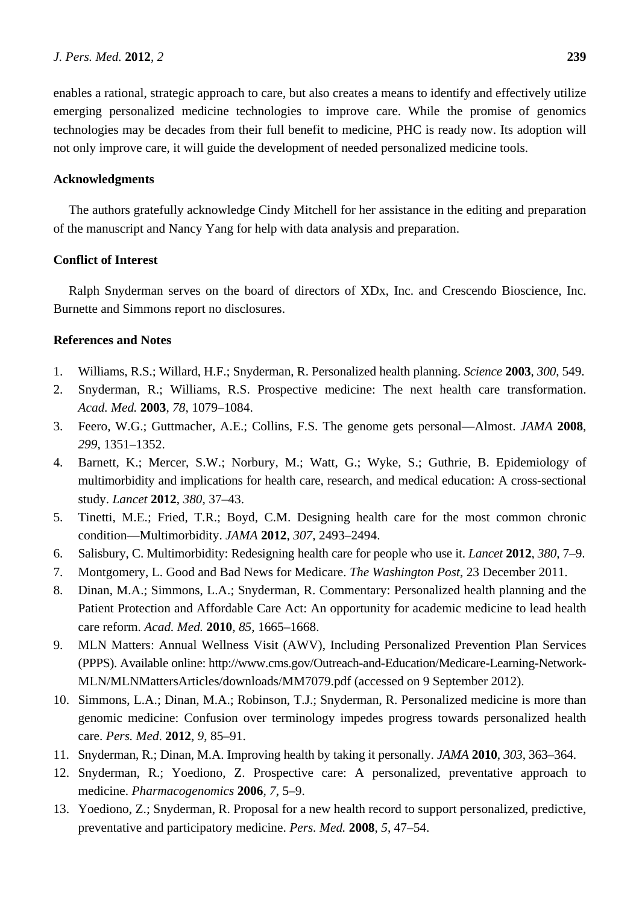enables a rational, strategic approach to care, but also creates a means to identify and effectively utilize emerging personalized medicine technologies to improve care. While the promise of genomics technologies may be decades from their full benefit to medicine, PHC is ready now. Its adoption will not only improve care, it will guide the development of needed personalized medicine tools.

# **Acknowledgments**

The authors gratefully acknowledge Cindy Mitchell for her assistance in the editing and preparation of the manuscript and Nancy Yang for help with data analysis and preparation.

# **Conflict of Interest**

Ralph Snyderman serves on the board of directors of XDx, Inc. and Crescendo Bioscience, Inc. Burnette and Simmons report no disclosures.

# **References and Notes**

- 1. Williams, R.S.; Willard, H.F.; Snyderman, R. Personalized health planning. *Science* **2003**, *300*, 549.
- 2. Snyderman, R.; Williams, R.S. Prospective medicine: The next health care transformation. *Acad. Med.* **2003**, *78*, 1079–1084.
- 3. Feero, W.G.; Guttmacher, A.E.; Collins, F.S. The genome gets personal—Almost. *JAMA* **2008**, *299*, 1351–1352.
- 4. Barnett, K.; Mercer, S.W.; Norbury, M.; Watt, G.; Wyke, S.; Guthrie, B. Epidemiology of multimorbidity and implications for health care, research, and medical education: A cross-sectional study. *Lancet* **2012**, *380*, 37–43.
- 5. Tinetti, M.E.; Fried, T.R.; Boyd, C.M. Designing health care for the most common chronic condition—Multimorbidity. *JAMA* **2012**, *307*, 2493–2494.
- 6. Salisbury, C. Multimorbidity: Redesigning health care for people who use it. *Lancet* **2012**, *380*, 7–9.
- 7. Montgomery, L. Good and Bad News for Medicare. *The Washington Post*, 23 December 2011.
- 8. Dinan, M.A.; Simmons, L.A.; Snyderman, R. Commentary: Personalized health planning and the Patient Protection and Affordable Care Act: An opportunity for academic medicine to lead health care reform. *Acad. Med.* **2010**, *85*, 1665–1668.
- 9. MLN Matters: Annual Wellness Visit (AWV), Including Personalized Prevention Plan Services (PPPS). Available online: http://www.cms.gov/Outreach-and-Education/Medicare-Learning-Network-MLN/MLNMattersArticles/downloads/MM7079.pdf (accessed on 9 September 2012).
- 10. Simmons, L.A.; Dinan, M.A.; Robinson, T.J.; Snyderman, R. Personalized medicine is more than genomic medicine: Confusion over terminology impedes progress towards personalized health care. *Pers. Med*. **2012**, *9*, 85–91.
- 11. Snyderman, R.; Dinan, M.A. Improving health by taking it personally. *JAMA* **2010**, *303*, 363–364.
- 12. Snyderman, R.; Yoediono, Z. Prospective care: A personalized, preventative approach to medicine. *Pharmacogenomics* **2006**, *7*, 5–9.
- 13. Yoediono, Z.; Snyderman, R. Proposal for a new health record to support personalized, predictive, preventative and participatory medicine. *Pers. Med.* **2008**, *5*, 47–54.